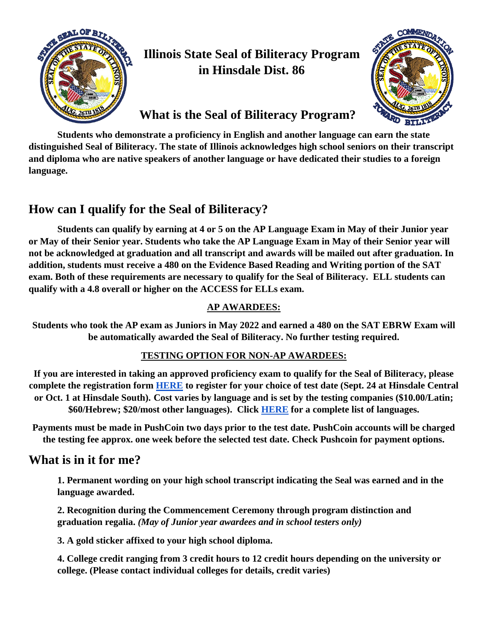

## **Illinois State Seal of Biliteracy Program in Hinsdale Dist. 86**



## **What is the Seal of Biliteracy Program?**

**Students who demonstrate a proficiency in English and another language can earn the state distinguished Seal of Biliteracy. The state of Illinois acknowledges high school seniors on their transcript and diploma who are native speakers of another language or have dedicated their studies to a foreign language.** 

## **How can I qualify for the Seal of Biliteracy?**

**Students can qualify by earning at 4 or 5 on the AP Language Exam in May of their Junior year or May of their Senior year. Students who take the AP Language Exam in May of their Senior year will not be acknowledged at graduation and all transcript and awards will be mailed out after graduation. In addition, students must receive a 480 on the Evidence Based Reading and Writing portion of the SAT exam. Both of these requirements are necessary to qualify for the Seal of Biliteracy. ELL students can qualify with a 4.8 overall or higher on the ACCESS for ELLs exam.** 

#### **AP AWARDEES:**

**Students who took the AP exam as Juniors in May 2022 and earned a 480 on the SAT EBRW Exam will be automatically awarded the Seal of Biliteracy. No further testing required.** 

#### **TESTING OPTION FOR NON-AP AWARDEES:**

**If you are interested in taking an approved proficiency exam to qualify for the Seal of Biliteracy, please complete the registration form [HERE](https://docs.google.com/forms/d/e/1FAIpQLSeDyMeo5qV6-gpmcMv_stBuc-Hri7TRqPAiWTI9APvVbojifg/viewform?usp=sf_link) to register for your choice of test date (Sept. 24 at Hinsdale Central or Oct. 1 at Hinsdale South). Cost varies by language and is set by the testing companies (\$10.00/Latin; \$60/Hebrew; \$20/most other languages). Click [HERE](https://docs.google.com/document/d/1sFRgThT0ClalwHG5RWLDDBUkRf38UJ3jimtRlFutanA/edit?usp=sharing) for a complete list of languages.**

**Payments must be made in PushCoin two days prior to the test date. PushCoin accounts will be charged the testing fee approx. one week before the selected test date. Check Pushcoin for payment options.**

### **What is in it for me?**

**1. Permanent wording on your high school transcript indicating the Seal was earned and in the language awarded.** 

**2. Recognition during the Commencement Ceremony through program distinction and graduation regalia.** *(May of Junior year awardees and in school testers only)*

**3. A gold sticker affixed to your high school diploma.**

**4. College credit ranging from 3 credit hours to 12 credit hours depending on the university or college. (Please contact individual colleges for details, credit varies)**